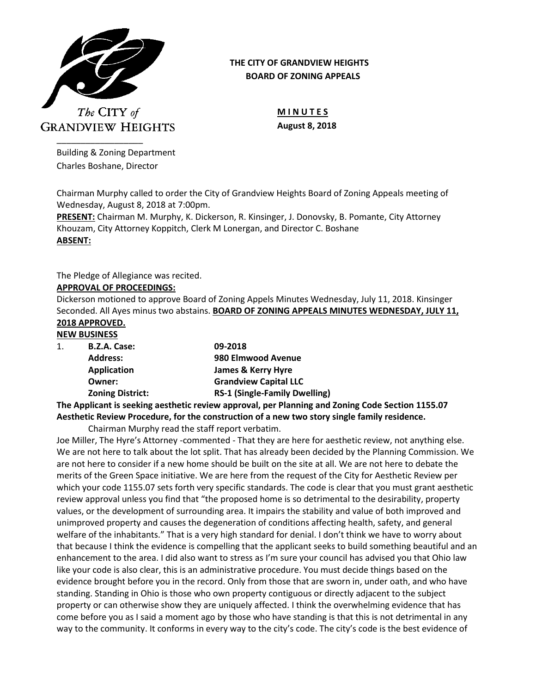

## **THE CITY OF GRANDVIEW HEIGHTS BOARD OF ZONING APPEALS**

**M I N U T E S August 8, 2018**

Building & Zoning Department Charles Boshane, Director

Chairman Murphy called to order the City of Grandview Heights Board of Zoning Appeals meeting of Wednesday, August 8, 2018 at 7:00pm.

**PRESENT:** Chairman M. Murphy, K. Dickerson, R. Kinsinger, J. Donovsky, B. Pomante, City Attorney Khouzam, City Attorney Koppitch, Clerk M Lonergan, and Director C. Boshane **ABSENT:**

The Pledge of Allegiance was recited.

## **APPROVAL OF PROCEEDINGS:**

Dickerson motioned to approve Board of Zoning Appels Minutes Wednesday, July 11, 2018. Kinsinger Seconded. All Ayes minus two abstains. **BOARD OF ZONING APPEALS MINUTES WEDNESDAY, JULY 11, 2018 APPROVED.**

# **NEW BUSINESS**

| 1. | B.Z.A. Case:            | 09-2018                              |
|----|-------------------------|--------------------------------------|
|    | <b>Address:</b>         | 980 Elmwood Avenue                   |
|    | <b>Application</b>      | James & Kerry Hyre                   |
|    | Owner:                  | <b>Grandview Capital LLC</b>         |
|    | <b>Zoning District:</b> | <b>RS-1 (Single-Family Dwelling)</b> |

**The Applicant is seeking aesthetic review approval, per Planning and Zoning Code Section 1155.07 Aesthetic Review Procedure, for the construction of a new two story single family residence.**

Chairman Murphy read the staff report verbatim.

Joe Miller, The Hyre's Attorney -commented - That they are here for aesthetic review, not anything else. We are not here to talk about the lot split. That has already been decided by the Planning Commission. We are not here to consider if a new home should be built on the site at all. We are not here to debate the merits of the Green Space initiative. We are here from the request of the City for Aesthetic Review per which your code 1155.07 sets forth very specific standards. The code is clear that you must grant aesthetic review approval unless you find that "the proposed home is so detrimental to the desirability, property values, or the development of surrounding area. It impairs the stability and value of both improved and unimproved property and causes the degeneration of conditions affecting health, safety, and general welfare of the inhabitants." That is a very high standard for denial. I don't think we have to worry about that because I think the evidence is compelling that the applicant seeks to build something beautiful and an enhancement to the area. I did also want to stress as I'm sure your council has advised you that Ohio law like your code is also clear, this is an administrative procedure. You must decide things based on the evidence brought before you in the record. Only from those that are sworn in, under oath, and who have standing. Standing in Ohio is those who own property contiguous or directly adjacent to the subject property or can otherwise show they are uniquely affected. I think the overwhelming evidence that has come before you as I said a moment ago by those who have standing is that this is not detrimental in any way to the community. It conforms in every way to the city's code. The city's code is the best evidence of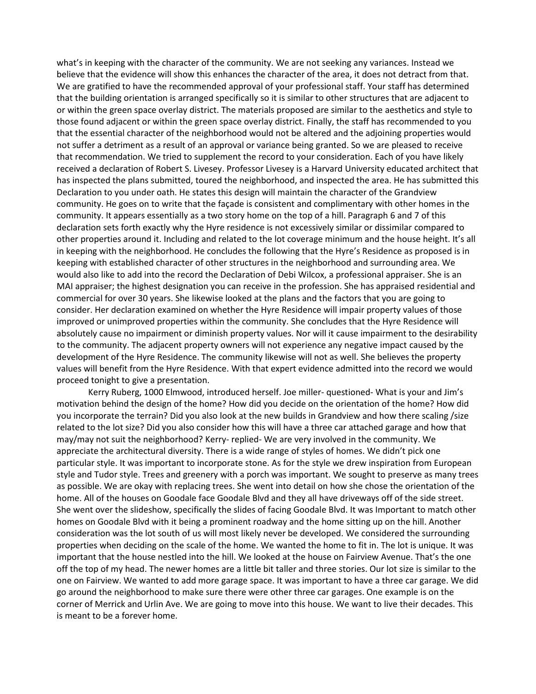what's in keeping with the character of the community. We are not seeking any variances. Instead we believe that the evidence will show this enhances the character of the area, it does not detract from that. We are gratified to have the recommended approval of your professional staff. Your staff has determined that the building orientation is arranged specifically so it is similar to other structures that are adjacent to or within the green space overlay district. The materials proposed are similar to the aesthetics and style to those found adjacent or within the green space overlay district. Finally, the staff has recommended to you that the essential character of the neighborhood would not be altered and the adjoining properties would not suffer a detriment as a result of an approval or variance being granted. So we are pleased to receive that recommendation. We tried to supplement the record to your consideration. Each of you have likely received a declaration of Robert S. Livesey. Professor Livesey is a Harvard University educated architect that has inspected the plans submitted, toured the neighborhood, and inspected the area. He has submitted this Declaration to you under oath. He states this design will maintain the character of the Grandview community. He goes on to write that the façade is consistent and complimentary with other homes in the community. It appears essentially as a two story home on the top of a hill. Paragraph 6 and 7 of this declaration sets forth exactly why the Hyre residence is not excessively similar or dissimilar compared to other properties around it. Including and related to the lot coverage minimum and the house height. It's all in keeping with the neighborhood. He concludes the following that the Hyre's Residence as proposed is in keeping with established character of other structures in the neighborhood and surrounding area. We would also like to add into the record the Declaration of Debi Wilcox, a professional appraiser. She is an MAI appraiser; the highest designation you can receive in the profession. She has appraised residential and commercial for over 30 years. She likewise looked at the plans and the factors that you are going to consider. Her declaration examined on whether the Hyre Residence will impair property values of those improved or unimproved properties within the community. She concludes that the Hyre Residence will absolutely cause no impairment or diminish property values. Nor will it cause impairment to the desirability to the community. The adjacent property owners will not experience any negative impact caused by the development of the Hyre Residence. The community likewise will not as well. She believes the property values will benefit from the Hyre Residence. With that expert evidence admitted into the record we would proceed tonight to give a presentation.

Kerry Ruberg, 1000 Elmwood, introduced herself. Joe miller- questioned- What is your and Jim's motivation behind the design of the home? How did you decide on the orientation of the home? How did you incorporate the terrain? Did you also look at the new builds in Grandview and how there scaling /size related to the lot size? Did you also consider how this will have a three car attached garage and how that may/may not suit the neighborhood? Kerry- replied- We are very involved in the community. We appreciate the architectural diversity. There is a wide range of styles of homes. We didn't pick one particular style. It was important to incorporate stone. As for the style we drew inspiration from European style and Tudor style. Trees and greenery with a porch was important. We sought to preserve as many trees as possible. We are okay with replacing trees. She went into detail on how she chose the orientation of the home. All of the houses on Goodale face Goodale Blvd and they all have driveways off of the side street. She went over the slideshow, specifically the slides of facing Goodale Blvd. It was Important to match other homes on Goodale Blvd with it being a prominent roadway and the home sitting up on the hill. Another consideration was the lot south of us will most likely never be developed. We considered the surrounding properties when deciding on the scale of the home. We wanted the home to fit in. The lot is unique. It was important that the house nestled into the hill. We looked at the house on Fairview Avenue. That's the one off the top of my head. The newer homes are a little bit taller and three stories. Our lot size is similar to the one on Fairview. We wanted to add more garage space. It was important to have a three car garage. We did go around the neighborhood to make sure there were other three car garages. One example is on the corner of Merrick and Urlin Ave. We are going to move into this house. We want to live their decades. This is meant to be a forever home.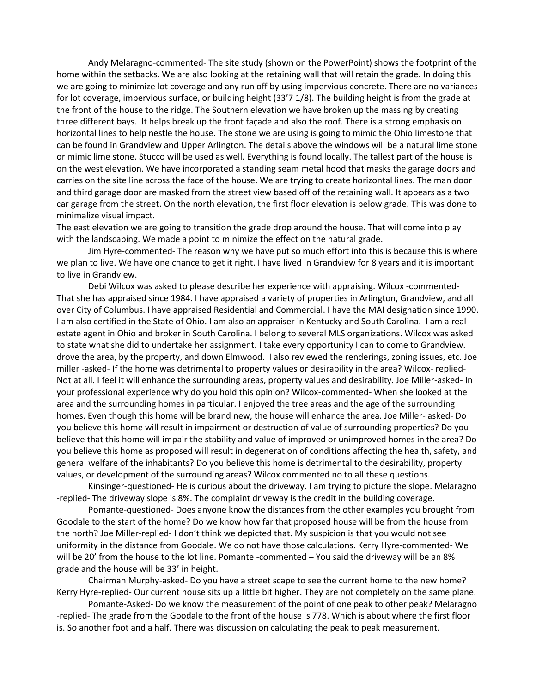Andy Melaragno-commented- The site study (shown on the PowerPoint) shows the footprint of the home within the setbacks. We are also looking at the retaining wall that will retain the grade. In doing this we are going to minimize lot coverage and any run off by using impervious concrete. There are no variances for lot coverage, impervious surface, or building height (33'7 1/8). The building height is from the grade at the front of the house to the ridge. The Southern elevation we have broken up the massing by creating three different bays. It helps break up the front façade and also the roof. There is a strong emphasis on horizontal lines to help nestle the house. The stone we are using is going to mimic the Ohio limestone that can be found in Grandview and Upper Arlington. The details above the windows will be a natural lime stone or mimic lime stone. Stucco will be used as well. Everything is found locally. The tallest part of the house is on the west elevation. We have incorporated a standing seam metal hood that masks the garage doors and carries on the site line across the face of the house. We are trying to create horizontal lines. The man door and third garage door are masked from the street view based off of the retaining wall. It appears as a two car garage from the street. On the north elevation, the first floor elevation is below grade. This was done to minimalize visual impact.

The east elevation we are going to transition the grade drop around the house. That will come into play with the landscaping. We made a point to minimize the effect on the natural grade.

Jim Hyre-commented- The reason why we have put so much effort into this is because this is where we plan to live. We have one chance to get it right. I have lived in Grandview for 8 years and it is important to live in Grandview.

Debi Wilcox was asked to please describe her experience with appraising. Wilcox -commented-That she has appraised since 1984. I have appraised a variety of properties in Arlington, Grandview, and all over City of Columbus. I have appraised Residential and Commercial. I have the MAI designation since 1990. I am also certified in the State of Ohio. I am also an appraiser in Kentucky and South Carolina. I am a real estate agent in Ohio and broker in South Carolina. I belong to several MLS organizations. Wilcox was asked to state what she did to undertake her assignment. I take every opportunity I can to come to Grandview. I drove the area, by the property, and down Elmwood. I also reviewed the renderings, zoning issues, etc. Joe miller -asked- If the home was detrimental to property values or desirability in the area? Wilcox- replied-Not at all. I feel it will enhance the surrounding areas, property values and desirability. Joe Miller-asked- In your professional experience why do you hold this opinion? Wilcox-commented- When she looked at the area and the surrounding homes in particular. I enjoyed the tree areas and the age of the surrounding homes. Even though this home will be brand new, the house will enhance the area. Joe Miller- asked- Do you believe this home will result in impairment or destruction of value of surrounding properties? Do you believe that this home will impair the stability and value of improved or unimproved homes in the area? Do you believe this home as proposed will result in degeneration of conditions affecting the health, safety, and general welfare of the inhabitants? Do you believe this home is detrimental to the desirability, property values, or development of the surrounding areas? Wilcox commented no to all these questions.

Kinsinger-questioned- He is curious about the driveway. I am trying to picture the slope. Melaragno -replied- The driveway slope is 8%. The complaint driveway is the credit in the building coverage.

Pomante-questioned- Does anyone know the distances from the other examples you brought from Goodale to the start of the home? Do we know how far that proposed house will be from the house from the north? Joe Miller-replied- I don't think we depicted that. My suspicion is that you would not see uniformity in the distance from Goodale. We do not have those calculations. Kerry Hyre-commented- We will be 20' from the house to the lot line. Pomante -commented – You said the driveway will be an 8% grade and the house will be 33' in height.

Chairman Murphy-asked- Do you have a street scape to see the current home to the new home? Kerry Hyre-replied- Our current house sits up a little bit higher. They are not completely on the same plane.

Pomante-Asked- Do we know the measurement of the point of one peak to other peak? Melaragno -replied- The grade from the Goodale to the front of the house is 778. Which is about where the first floor is. So another foot and a half. There was discussion on calculating the peak to peak measurement.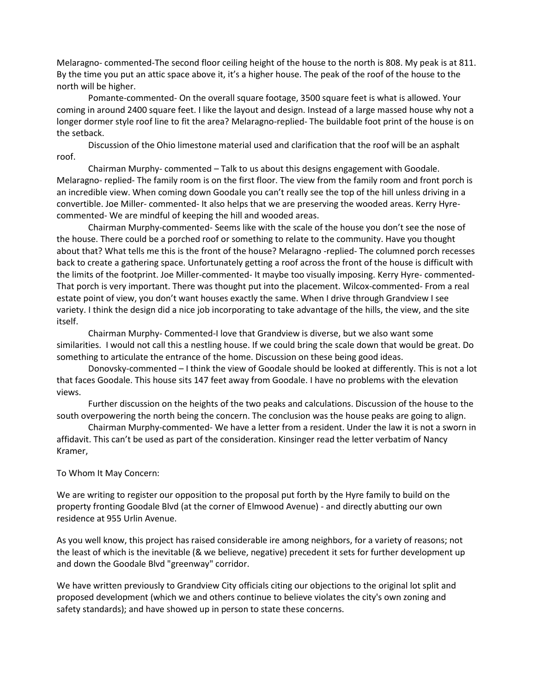Melaragno- commented-The second floor ceiling height of the house to the north is 808. My peak is at 811. By the time you put an attic space above it, it's a higher house. The peak of the roof of the house to the north will be higher.

Pomante-commented- On the overall square footage, 3500 square feet is what is allowed. Your coming in around 2400 square feet. I like the layout and design. Instead of a large massed house why not a longer dormer style roof line to fit the area? Melaragno-replied- The buildable foot print of the house is on the setback.

Discussion of the Ohio limestone material used and clarification that the roof will be an asphalt roof.

Chairman Murphy- commented – Talk to us about this designs engagement with Goodale. Melaragno- replied- The family room is on the first floor. The view from the family room and front porch is an incredible view. When coming down Goodale you can't really see the top of the hill unless driving in a convertible. Joe Miller- commented- It also helps that we are preserving the wooded areas. Kerry Hyrecommented- We are mindful of keeping the hill and wooded areas.

Chairman Murphy-commented- Seems like with the scale of the house you don't see the nose of the house. There could be a porched roof or something to relate to the community. Have you thought about that? What tells me this is the front of the house? Melaragno -replied- The columned porch recesses back to create a gathering space. Unfortunately getting a roof across the front of the house is difficult with the limits of the footprint. Joe Miller-commented- It maybe too visually imposing. Kerry Hyre- commented-That porch is very important. There was thought put into the placement. Wilcox-commented- From a real estate point of view, you don't want houses exactly the same. When I drive through Grandview I see variety. I think the design did a nice job incorporating to take advantage of the hills, the view, and the site itself.

Chairman Murphy- Commented-I love that Grandview is diverse, but we also want some similarities. I would not call this a nestling house. If we could bring the scale down that would be great. Do something to articulate the entrance of the home. Discussion on these being good ideas.

Donovsky-commented – I think the view of Goodale should be looked at differently. This is not a lot that faces Goodale. This house sits 147 feet away from Goodale. I have no problems with the elevation views.

Further discussion on the heights of the two peaks and calculations. Discussion of the house to the south overpowering the north being the concern. The conclusion was the house peaks are going to align.

Chairman Murphy-commented- We have a letter from a resident. Under the law it is not a sworn in affidavit. This can't be used as part of the consideration. Kinsinger read the letter verbatim of Nancy Kramer,

#### To Whom It May Concern:

We are writing to register our opposition to the proposal put forth by the Hyre family to build on the property fronting Goodale Blvd (at the corner of Elmwood Avenue) - and directly abutting our own residence at 955 Urlin Avenue.

As you well know, this project has raised considerable ire among neighbors, for a variety of reasons; not the least of which is the inevitable (& we believe, negative) precedent it sets for further development up and down the Goodale Blvd "greenway" corridor.

We have written previously to Grandview City officials citing our objections to the original lot split and proposed development (which we and others continue to believe violates the city's own zoning and safety standards); and have showed up in person to state these concerns.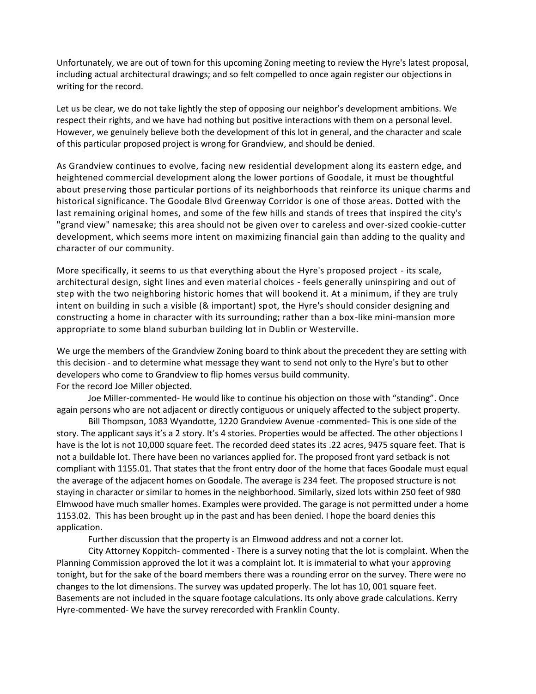Unfortunately, we are out of town for this upcoming Zoning meeting to review the Hyre's latest proposal, including actual architectural drawings; and so felt compelled to once again register our objections in writing for the record.

Let us be clear, we do not take lightly the step of opposing our neighbor's development ambitions. We respect their rights, and we have had nothing but positive interactions with them on a personal level. However, we genuinely believe both the development of this lot in general, and the character and scale of this particular proposed project is wrong for Grandview, and should be denied.

As Grandview continues to evolve, facing new residential development along its eastern edge, and heightened commercial development along the lower portions of Goodale, it must be thoughtful about preserving those particular portions of its neighborhoods that reinforce its unique charms and historical significance. The Goodale Blvd Greenway Corridor is one of those areas. Dotted with the last remaining original homes, and some of the few hills and stands of trees that inspired the city's "grand view" namesake; this area should not be given over to careless and over-sized cookie-cutter development, which seems more intent on maximizing financial gain than adding to the quality and character of our community.

More specifically, it seems to us that everything about the Hyre's proposed project - its scale, architectural design, sight lines and even material choices - feels generally uninspiring and out of step with the two neighboring historic homes that will bookend it. At a minimum, if they are truly intent on building in such a visible (& important) spot, the Hyre's should consider designing and constructing a home in character with its surrounding; rather than a box-like mini-mansion more appropriate to some bland suburban building lot in Dublin or Westerville.

We urge the members of the Grandview Zoning board to think about the precedent they are setting with this decision - and to determine what message they want to send not only to the Hyre's but to other developers who come to Grandview to flip homes versus build community. For the record Joe Miller objected.

Joe Miller-commented- He would like to continue his objection on those with "standing". Once again persons who are not adjacent or directly contiguous or uniquely affected to the subject property.

Bill Thompson, 1083 Wyandotte, 1220 Grandview Avenue -commented- This is one side of the story. The applicant says it's a 2 story. It's 4 stories. Properties would be affected. The other objections I have is the lot is not 10,000 square feet. The recorded deed states its .22 acres, 9475 square feet. That is not a buildable lot. There have been no variances applied for. The proposed front yard setback is not compliant with 1155.01. That states that the front entry door of the home that faces Goodale must equal the average of the adjacent homes on Goodale. The average is 234 feet. The proposed structure is not staying in character or similar to homes in the neighborhood. Similarly, sized lots within 250 feet of 980 Elmwood have much smaller homes. Examples were provided. The garage is not permitted under a home 1153.02. This has been brought up in the past and has been denied. I hope the board denies this application.

Further discussion that the property is an Elmwood address and not a corner lot.

City Attorney Koppitch- commented - There is a survey noting that the lot is complaint. When the Planning Commission approved the lot it was a complaint lot. It is immaterial to what your approving tonight, but for the sake of the board members there was a rounding error on the survey. There were no changes to the lot dimensions. The survey was updated properly. The lot has 10, 001 square feet. Basements are not included in the square footage calculations. Its only above grade calculations. Kerry Hyre-commented- We have the survey rerecorded with Franklin County.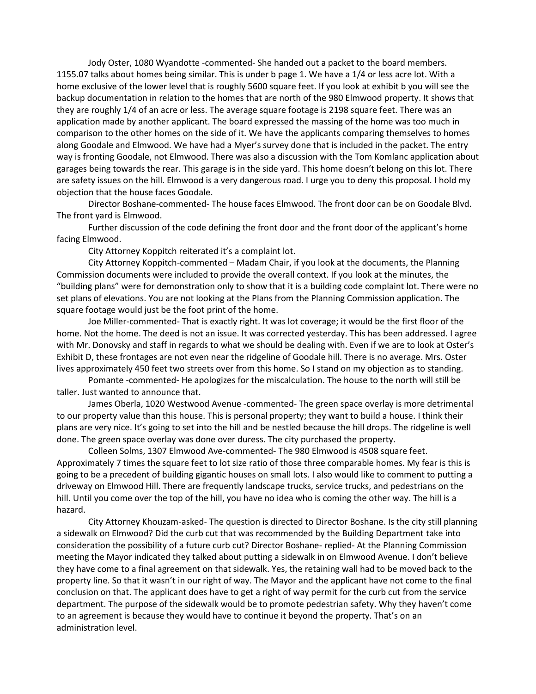Jody Oster, 1080 Wyandotte -commented- She handed out a packet to the board members. 1155.07 talks about homes being similar. This is under b page 1. We have a 1/4 or less acre lot. With a home exclusive of the lower level that is roughly 5600 square feet. If you look at exhibit b you will see the backup documentation in relation to the homes that are north of the 980 Elmwood property. It shows that they are roughly 1/4 of an acre or less. The average square footage is 2198 square feet. There was an application made by another applicant. The board expressed the massing of the home was too much in comparison to the other homes on the side of it. We have the applicants comparing themselves to homes along Goodale and Elmwood. We have had a Myer's survey done that is included in the packet. The entry way is fronting Goodale, not Elmwood. There was also a discussion with the Tom Komlanc application about garages being towards the rear. This garage is in the side yard. This home doesn't belong on this lot. There are safety issues on the hill. Elmwood is a very dangerous road. I urge you to deny this proposal. I hold my objection that the house faces Goodale.

Director Boshane-commented- The house faces Elmwood. The front door can be on Goodale Blvd. The front yard is Elmwood.

Further discussion of the code defining the front door and the front door of the applicant's home facing Elmwood.

City Attorney Koppitch reiterated it's a complaint lot.

City Attorney Koppitch-commented – Madam Chair, if you look at the documents, the Planning Commission documents were included to provide the overall context. If you look at the minutes, the "building plans" were for demonstration only to show that it is a building code complaint lot. There were no set plans of elevations. You are not looking at the Plans from the Planning Commission application. The square footage would just be the foot print of the home.

Joe Miller-commented- That is exactly right. It was lot coverage; it would be the first floor of the home. Not the home. The deed is not an issue. It was corrected yesterday. This has been addressed. I agree with Mr. Donovsky and staff in regards to what we should be dealing with. Even if we are to look at Oster's Exhibit D, these frontages are not even near the ridgeline of Goodale hill. There is no average. Mrs. Oster lives approximately 450 feet two streets over from this home. So I stand on my objection as to standing.

Pomante -commented- He apologizes for the miscalculation. The house to the north will still be taller. Just wanted to announce that.

James Oberla, 1020 Westwood Avenue -commented- The green space overlay is more detrimental to our property value than this house. This is personal property; they want to build a house. I think their plans are very nice. It's going to set into the hill and be nestled because the hill drops. The ridgeline is well done. The green space overlay was done over duress. The city purchased the property.

Colleen Solms, 1307 Elmwood Ave-commented- The 980 Elmwood is 4508 square feet. Approximately 7 times the square feet to lot size ratio of those three comparable homes. My fear is this is going to be a precedent of building gigantic houses on small lots. I also would like to comment to putting a driveway on Elmwood Hill. There are frequently landscape trucks, service trucks, and pedestrians on the hill. Until you come over the top of the hill, you have no idea who is coming the other way. The hill is a hazard.

City Attorney Khouzam-asked- The question is directed to Director Boshane. Is the city still planning a sidewalk on Elmwood? Did the curb cut that was recommended by the Building Department take into consideration the possibility of a future curb cut? Director Boshane- replied- At the Planning Commission meeting the Mayor indicated they talked about putting a sidewalk in on Elmwood Avenue. I don't believe they have come to a final agreement on that sidewalk. Yes, the retaining wall had to be moved back to the property line. So that it wasn't in our right of way. The Mayor and the applicant have not come to the final conclusion on that. The applicant does have to get a right of way permit for the curb cut from the service department. The purpose of the sidewalk would be to promote pedestrian safety. Why they haven't come to an agreement is because they would have to continue it beyond the property. That's on an administration level.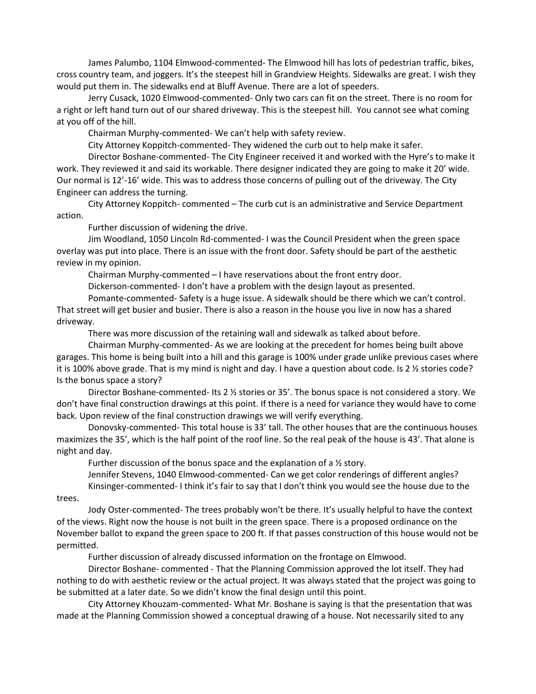James Palumbo, 1104 Elmwood-commented- The Elmwood hill has lots of pedestrian traffic, bikes, cross country team, and joggers. It's the steepest hill in Grandview Heights. Sidewalks are great. I wish they would put them in. The sidewalks end at Bluff Avenue. There are a lot of speeders.

Jerry Cusack, 1020 Elmwood-commented- Only two cars can fit on the street. There is no room for a right or left hand turn out of our shared driveway. This is the steepest hill. You cannot see what coming at you off of the hill.

Chairman Murphy-commented- We can't help with safety review.

City Attorney Koppitch-commented- They widened the curb out to help make it safer.

Director Boshane-commented- The City Engineer received it and worked with the Hyre's to make it work. They reviewed it and said its workable. There designer indicated they are going to make it 20' wide. Our normal is 12'-16' wide. This was to address those concerns of pulling out of the driveway. The City Engineer can address the turning.

City Attorney Koppitch- commented – The curb cut is an administrative and Service Department action.

Further discussion of widening the drive.

Jim Woodland, 1050 Lincoln Rd-commented- I was the Council President when the green space overlay was put into place. There is an issue with the front door. Safety should be part of the aesthetic review in my opinion.

Chairman Murphy-commented – I have reservations about the front entry door.

Dickerson-commented- I don't have a problem with the design layout as presented.

Pomante-commented- Safety is a huge issue. A sidewalk should be there which we can't control. That street will get busier and busier. There is also a reason in the house you live in now has a shared driveway.

There was more discussion of the retaining wall and sidewalk as talked about before.

Chairman Murphy-commented- As we are looking at the precedent for homes being built above garages. This home is being built into a hill and this garage is 100% under grade unlike previous cases where it is 100% above grade. That is my mind is night and day. I have a question about code. Is 2 ½ stories code? Is the bonus space a story?

Director Boshane-commented- Its 2 ½ stories or 35'. The bonus space is not considered a story. We don't have final construction drawings at this point. If there is a need for variance they would have to come back. Upon review of the final construction drawings we will verify everything.

Donovsky-commented- This total house is 33' tall. The other houses that are the continuous houses maximizes the 35', which is the half point of the roof line. So the real peak of the house is 43'. That alone is night and day.

Further discussion of the bonus space and the explanation of a ½ story.

Jennifer Stevens, 1040 Elmwood-commented- Can we get color renderings of different angles? Kinsinger-commented- I think it's fair to say that I don't think you would see the house due to the

trees.

Jody Oster-commented- The trees probably won't be there. It's usually helpful to have the context of the views. Right now the house is not built in the green space. There is a proposed ordinance on the November ballot to expand the green space to 200 ft. If that passes construction of this house would not be permitted.

Further discussion of already discussed information on the frontage on Elmwood.

Director Boshane- commented - That the Planning Commission approved the lot itself. They had nothing to do with aesthetic review or the actual project. It was always stated that the project was going to be submitted at a later date. So we didn't know the final design until this point.

City Attorney Khouzam-commented- What Mr. Boshane is saying is that the presentation that was made at the Planning Commission showed a conceptual drawing of a house. Not necessarily sited to any